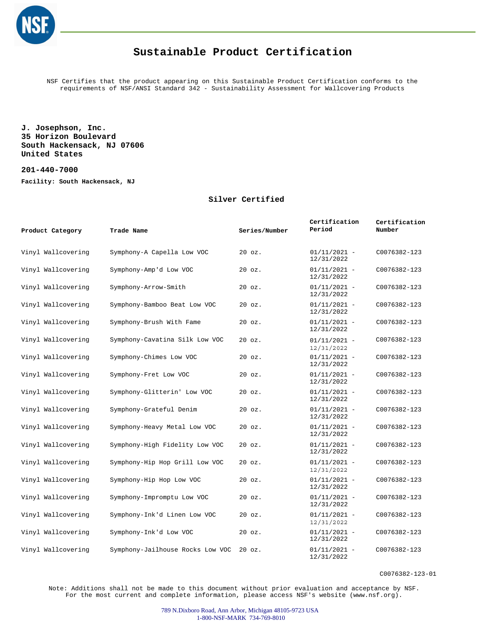

NSF Certifies that the product appearing on this Sustainable Product Certification conforms to the requirements of NSF/ANSI Standard 342 - Sustainability Assessment for Wallcovering Products

**J. Josephson, Inc. 35 Horizon Boulevard South Hackensack, NJ 07606 United States**

**201-440-7000**

**Facility: South Hackensack, NJ**

#### **Silver Certified**

| Product Category   | Trade Name                       | Series/Number | Certification<br>Period      | Certification<br>Number |
|--------------------|----------------------------------|---------------|------------------------------|-------------------------|
| Vinyl Wallcovering | Symphony-A Capella Low VOC       | $20$ $oz.$    | $01/11/2021 -$<br>12/31/2022 | C0076382-123            |
| Vinyl Wallcovering | Symphony-Amp'd Low VOC           | $20$ $oz.$    | $01/11/2021 -$<br>12/31/2022 | C0076382-123            |
| Vinyl Wallcovering | Symphony-Arrow-Smith             | $20$ $oz.$    | $01/11/2021 -$<br>12/31/2022 | C0076382-123            |
| Vinyl Wallcovering | Symphony-Bamboo Beat Low VOC     | $20$ $oz.$    | $01/11/2021 -$<br>12/31/2022 | C0076382-123            |
| Vinyl Wallcovering | Symphony-Brush With Fame         | $20$ $oz.$    | $01/11/2021 -$<br>12/31/2022 | C0076382-123            |
| Vinyl Wallcovering | Symphony-Cavatina Silk Low VOC   | $20$ $oz.$    | $01/11/2021 -$<br>12/31/2022 | C0076382-123            |
| Vinyl Wallcovering | Symphony-Chimes Low VOC          | $20$ $oz.$    | $01/11/2021 -$<br>12/31/2022 | C0076382-123            |
| Vinyl Wallcovering | Symphony-Fret Low VOC            | $20$ $oz.$    | $01/11/2021 -$<br>12/31/2022 | C0076382-123            |
| Vinyl Wallcovering | Symphony-Glitterin' Low VOC      | $20$ $oz.$    | $01/11/2021 -$<br>12/31/2022 | C0076382-123            |
| Vinyl Wallcovering | Symphony-Grateful Denim          | $20$ $oz.$    | $01/11/2021 -$<br>12/31/2022 | C0076382-123            |
| Vinyl Wallcovering | Symphony-Heavy Metal Low VOC     | $20$ $oz.$    | $01/11/2021 -$<br>12/31/2022 | C0076382-123            |
| Vinyl Wallcovering | Symphony-High Fidelity Low VOC   | $20$ $oz.$    | $01/11/2021 -$<br>12/31/2022 | C0076382-123            |
| Vinyl Wallcovering | Symphony-Hip Hop Grill Low VOC   | $20$ $oz.$    | $01/11/2021 -$<br>12/31/2022 | C0076382-123            |
| Vinyl Wallcovering | Symphony-Hip Hop Low VOC         | 20 oz.        | $01/11/2021 -$<br>12/31/2022 | C0076382-123            |
| Vinyl Wallcovering | Symphony-Impromptu Low VOC       | 20 oz.        | $01/11/2021 -$<br>12/31/2022 | C0076382-123            |
| Vinyl Wallcovering | Symphony-Ink'd Linen Low VOC     | $20$ $oz.$    | $01/11/2021 -$<br>12/31/2022 | C0076382-123            |
| Vinyl Wallcovering | Symphony-Ink'd Low VOC           | $20$ $oz.$    | $01/11/2021 -$<br>12/31/2022 | C0076382-123            |
| Vinyl Wallcovering | Symphony-Jailhouse Rocks Low VOC | $20$ $oz.$    | $01/11/2021 -$<br>12/31/2022 | C0076382-123            |

C0076382-123-01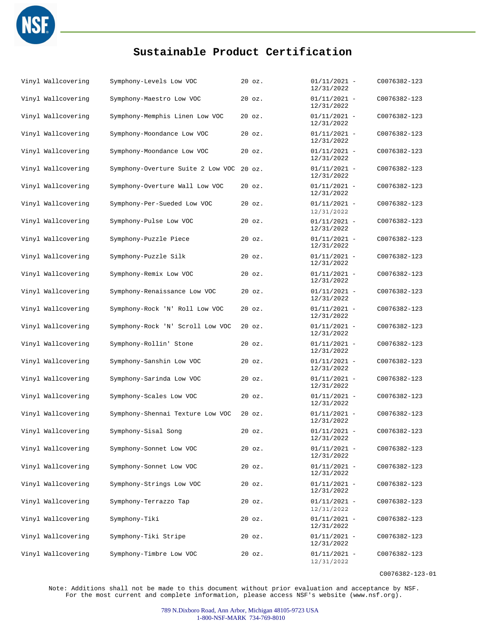

| Vinyl Wallcovering | Symphony-Levels Low VOC           | $20$ $oz.$ | $01/11/2021 -$<br>12/31/2022 | C0076382-123 |
|--------------------|-----------------------------------|------------|------------------------------|--------------|
| Vinyl Wallcovering | Symphony-Maestro Low VOC          | $20$ $oz.$ | $01/11/2021 -$<br>12/31/2022 | C0076382-123 |
| Vinyl Wallcovering | Symphony-Memphis Linen Low VOC    | 20 oz.     | $01/11/2021 -$<br>12/31/2022 | C0076382-123 |
| Vinyl Wallcovering | Symphony-Moondance Low VOC        | 20 oz.     | $01/11/2021 -$<br>12/31/2022 | C0076382-123 |
| Vinyl Wallcovering | Symphony-Moondance Low VOC        | $20$ $oz.$ | $01/11/2021 -$<br>12/31/2022 | C0076382-123 |
| Vinyl Wallcovering | Symphony-Overture Suite 2 Low VOC | $20$ $oz.$ | $01/11/2021 -$<br>12/31/2022 | C0076382-123 |
| Vinyl Wallcovering | Symphony-Overture Wall Low VOC    | $20$ $oz.$ | $01/11/2021 -$<br>12/31/2022 | C0076382-123 |
| Vinyl Wallcovering | Symphony-Per-Sueded Low VOC       | $20$ $oz.$ | $01/11/2021 -$<br>12/31/2022 | C0076382-123 |
| Vinyl Wallcovering | Symphony-Pulse Low VOC            | $20$ $oz.$ | $01/11/2021 -$<br>12/31/2022 | C0076382-123 |
| Vinyl Wallcovering | Symphony-Puzzle Piece             | $20$ $oz.$ | $01/11/2021 -$<br>12/31/2022 | C0076382-123 |
| Vinyl Wallcovering | Symphony-Puzzle Silk              | $20$ $oz.$ | $01/11/2021 -$<br>12/31/2022 | C0076382-123 |
| Vinyl Wallcovering | Symphony-Remix Low VOC            | $20$ $oz.$ | $01/11/2021 -$<br>12/31/2022 | C0076382-123 |
| Vinyl Wallcovering | Symphony-Renaissance Low VOC      | $20$ $oz.$ | $01/11/2021 -$<br>12/31/2022 | C0076382-123 |
| Vinyl Wallcovering | Symphony-Rock 'N' Roll Low VOC    | $20$ $oz.$ | $01/11/2021 -$<br>12/31/2022 | C0076382-123 |
| Vinyl Wallcovering | Symphony-Rock 'N' Scroll Low VOC  | $20$ $oz.$ | $01/11/2021 -$<br>12/31/2022 | C0076382-123 |
| Vinyl Wallcovering | Symphony-Rollin' Stone            | $20$ $oz.$ | $01/11/2021 -$<br>12/31/2022 | C0076382-123 |
| Vinyl Wallcovering | Symphony-Sanshin Low VOC          | 20 oz.     | $01/11/2021 -$<br>12/31/2022 | C0076382-123 |
| Vinyl Wallcovering | Symphony-Sarinda Low VOC          | $20$ $oz.$ | $01/11/2021 -$<br>12/31/2022 | C0076382-123 |
| Vinyl Wallcovering | Symphony-Scales Low VOC           | $20$ $oz.$ | $01/11/2021 -$<br>12/31/2022 | C0076382-123 |
| Vinyl Wallcovering | Symphony-Shennai Texture Low VOC  | $20$ $oz.$ | $01/11/2021 -$<br>12/31/2022 | C0076382-123 |
| Vinyl Wallcovering | Symphony-Sisal Song               | 20 oz.     | $01/11/2021 -$<br>12/31/2022 | C0076382-123 |
| Vinyl Wallcovering | Symphony-Sonnet Low VOC           | $20$ $oz.$ | $01/11/2021 -$<br>12/31/2022 | C0076382-123 |
| Vinyl Wallcovering | Symphony-Sonnet Low VOC           | $20$ $oz.$ | $01/11/2021 -$<br>12/31/2022 | C0076382-123 |
| Vinyl Wallcovering | Symphony-Strings Low VOC          | $20$ $oz.$ | $01/11/2021 -$<br>12/31/2022 | C0076382-123 |
| Vinyl Wallcovering | Symphony-Terrazzo Tap             | $20$ $oz.$ | $01/11/2021 -$<br>12/31/2022 | C0076382-123 |
| Vinyl Wallcovering | Symphony-Tiki                     | $20$ $oz.$ | $01/11/2021 -$<br>12/31/2022 | C0076382-123 |
| Vinyl Wallcovering | Symphony-Tiki Stripe              | $20$ $oz.$ | $01/11/2021 -$<br>12/31/2022 | C0076382-123 |
| Vinyl Wallcovering | Symphony-Timbre Low VOC           | $20$ $oz.$ | $01/11/2021 -$<br>12/31/2022 | C0076382-123 |

C0076382-123-01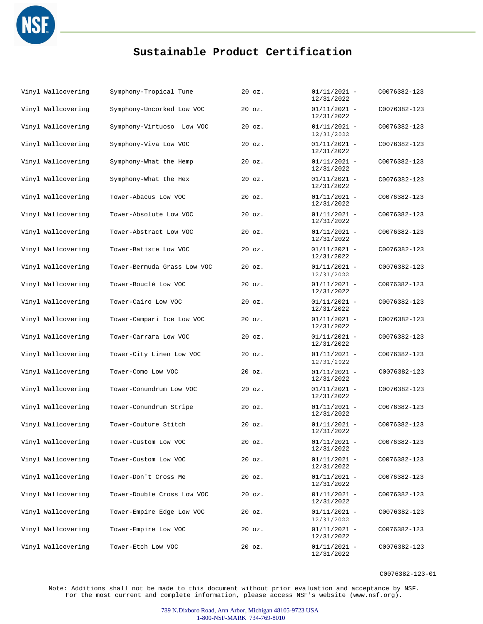

| Vinyl Wallcovering | Symphony-Tropical Tune      | $20$ $oz.$ | $01/11/2021 -$<br>12/31/2022 | C0076382-123 |
|--------------------|-----------------------------|------------|------------------------------|--------------|
| Vinyl Wallcovering | Symphony-Uncorked Low VOC   | 20 oz.     | $01/11/2021 -$<br>12/31/2022 | C0076382-123 |
| Vinyl Wallcovering | Symphony-Virtuoso Low VOC   | $20$ $oz.$ | $01/11/2021 -$<br>12/31/2022 | C0076382-123 |
| Vinyl Wallcovering | Symphony-Viva Low VOC       | $20$ $oz.$ | $01/11/2021 -$<br>12/31/2022 | C0076382-123 |
| Vinyl Wallcovering | Symphony-What the Hemp      | 20 oz.     | $01/11/2021 -$<br>12/31/2022 | C0076382-123 |
| Vinyl Wallcovering | Symphony-What the Hex       | $20$ $oz.$ | $01/11/2021 -$<br>12/31/2022 | C0076382-123 |
| Vinyl Wallcovering | Tower-Abacus Low VOC        | $20$ $oz.$ | $01/11/2021 -$<br>12/31/2022 | C0076382-123 |
| Vinyl Wallcovering | Tower-Absolute Low VOC      | $20$ $oz.$ | $01/11/2021 -$<br>12/31/2022 | C0076382-123 |
| Vinyl Wallcovering | Tower-Abstract Low VOC      | 20 oz.     | $01/11/2021 -$<br>12/31/2022 | C0076382-123 |
| Vinyl Wallcovering | Tower-Batiste Low VOC       | $20$ $oz.$ | $01/11/2021 -$<br>12/31/2022 | C0076382-123 |
| Vinyl Wallcovering | Tower-Bermuda Grass Low VOC | 20 oz.     | $01/11/2021 -$<br>12/31/2022 | C0076382-123 |
| Vinyl Wallcovering | Tower-Bouclé Low VOC        | 20 oz.     | $01/11/2021 -$<br>12/31/2022 | C0076382-123 |
| Vinyl Wallcovering | Tower-Cairo Low VOC         | 20 oz.     | $01/11/2021 -$<br>12/31/2022 | C0076382-123 |
| Vinyl Wallcovering | Tower-Campari Ice Low VOC   | $20$ $oz.$ | $01/11/2021 -$<br>12/31/2022 | C0076382-123 |
| Vinyl Wallcovering | Tower-Carrara Low VOC       | $20$ $oz.$ | $01/11/2021 -$<br>12/31/2022 | C0076382-123 |
| Vinyl Wallcovering | Tower-City Linen Low VOC    | 20 oz.     | $01/11/2021 -$<br>12/31/2022 | C0076382-123 |
| Vinyl Wallcovering | Tower-Como Low VOC          | 20 oz.     | $01/11/2021 -$<br>12/31/2022 | C0076382-123 |
| Vinyl Wallcovering | Tower-Conundrum Low VOC     | $20$ $oz.$ | $01/11/2021 -$<br>12/31/2022 | C0076382-123 |
| Vinyl Wallcovering | Tower-Conundrum Stripe      | 20 oz.     | $01/11/2021 -$<br>12/31/2022 | C0076382-123 |
| Vinyl Wallcovering | Tower-Couture Stitch        | $20$ $oz.$ | $01/11/2021 -$<br>12/31/2022 | C0076382-123 |
| Vinyl Wallcovering | Tower-Custom Low VOC        | 20 oz.     | $01/11/2021 -$<br>12/31/2022 | C0076382-123 |
| Vinyl Wallcovering | Tower-Custom Low VOC        | $20$ $oz.$ | $01/11/2021 -$<br>12/31/2022 | C0076382-123 |
| Vinyl Wallcovering | Tower-Don't Cross Me        | $20$ $oz.$ | $01/11/2021 -$<br>12/31/2022 | C0076382-123 |
| Vinyl Wallcovering | Tower-Double Cross Low VOC  | 20 oz.     | $01/11/2021 -$<br>12/31/2022 | C0076382-123 |
| Vinyl Wallcovering | Tower-Empire Edge Low VOC   | $20$ $oz.$ | $01/11/2021 -$<br>12/31/2022 | C0076382-123 |
| Vinyl Wallcovering | Tower-Empire Low VOC        | $20$ $oz.$ | $01/11/2021 -$<br>12/31/2022 | C0076382-123 |
| Vinyl Wallcovering | Tower-Etch Low VOC          | 20 oz.     | $01/11/2021 -$<br>12/31/2022 | C0076382-123 |

C0076382-123-01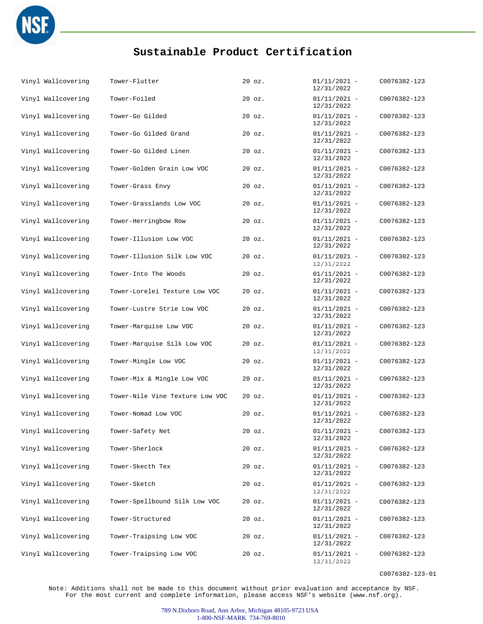

| Vinyl Wallcovering | Tower-Flutter                   | $20$ $oz.$ | $01/11/2021 -$<br>12/31/2022 | C0076382-123 |
|--------------------|---------------------------------|------------|------------------------------|--------------|
| Vinyl Wallcovering | Tower-Foiled                    | $20$ $oz.$ | $01/11/2021 -$<br>12/31/2022 | C0076382-123 |
| Vinyl Wallcovering | Tower-Go Gilded                 | $20$ $oz.$ | $01/11/2021 -$<br>12/31/2022 | C0076382-123 |
| Vinyl Wallcovering | Tower-Go Gilded Grand           | $20$ $oz.$ | $01/11/2021 -$<br>12/31/2022 | C0076382-123 |
| Vinyl Wallcovering | Tower-Go Gilded Linen           | $20$ $oz.$ | $01/11/2021 -$<br>12/31/2022 | C0076382-123 |
| Vinyl Wallcovering | Tower-Golden Grain Low VOC      | $20$ $oz.$ | $01/11/2021 -$<br>12/31/2022 | C0076382-123 |
| Vinyl Wallcovering | Tower-Grass Envy                | $20$ $oz.$ | $01/11/2021 -$<br>12/31/2022 | C0076382-123 |
| Vinyl Wallcovering | Tower-Grasslands Low VOC        | $20$ $oz.$ | $01/11/2021 -$<br>12/31/2022 | C0076382-123 |
| Vinyl Wallcovering | Tower-Herringbow Row            | $20$ $oz.$ | $01/11/2021 -$<br>12/31/2022 | C0076382-123 |
| Vinyl Wallcovering | Tower-Illusion Low VOC          | $20$ $oz.$ | $01/11/2021 -$<br>12/31/2022 | C0076382-123 |
| Vinyl Wallcovering | Tower-Illusion Silk Low VOC     | $20$ $oz.$ | $01/11/2021 -$<br>12/31/2022 | C0076382-123 |
| Vinyl Wallcovering | Tower-Into The Woods            | $20$ $oz.$ | $01/11/2021 -$<br>12/31/2022 | C0076382-123 |
| Vinyl Wallcovering | Tower-Lorelei Texture Low VOC   | $20$ $oz.$ | $01/11/2021 -$<br>12/31/2022 | C0076382-123 |
| Vinyl Wallcovering | Tower-Lustre Strie Low VOC      | $20$ $oz.$ | $01/11/2021 -$<br>12/31/2022 | C0076382-123 |
| Vinyl Wallcovering | Tower-Marquise Low VOC          | $20$ $oz.$ | $01/11/2021 -$<br>12/31/2022 | C0076382-123 |
| Vinyl Wallcovering | Tower-Marquise Silk Low VOC     | $20$ $oz.$ | $01/11/2021 -$<br>12/31/2022 | C0076382-123 |
| Vinyl Wallcovering | Tower-Mingle Low VOC            | 20 oz.     | $01/11/2021 -$<br>12/31/2022 | C0076382-123 |
| Vinyl Wallcovering | Tower-Mix & Mingle Low VOC      | $20$ $oz.$ | $01/11/2021 -$<br>12/31/2022 | C0076382-123 |
| Vinyl Wallcovering | Tower-Nile Vine Texture Low VOC | $20$ $oz.$ | $01/11/2021 -$<br>12/31/2022 | C0076382-123 |
| Vinyl Wallcovering | Tower-Nomad Low VOC             | $20$ $oz.$ | $01/11/2021 -$<br>12/31/2022 | C0076382-123 |
| Vinyl Wallcovering | Tower-Safety Net                | $20$ $oz.$ | $01/11/2021 -$<br>12/31/2022 | C0076382-123 |
| Vinyl Wallcovering | Tower-Sherlock                  | $20$ $oz.$ | $01/11/2021 -$<br>12/31/2022 | C0076382-123 |
| Vinyl Wallcovering | Tower-Skecth Tex                | $20$ $oz.$ | $01/11/2021 -$<br>12/31/2022 | C0076382-123 |
| Vinyl Wallcovering | Tower-Sketch                    | $20$ $oz.$ | $01/11/2021 -$<br>12/31/2022 | C0076382-123 |
| Vinyl Wallcovering | Tower-Spellbound Silk Low VOC   | $20$ $oz.$ | $01/11/2021 -$<br>12/31/2022 | C0076382-123 |
| Vinyl Wallcovering | Tower-Structured                | $20$ $oz.$ | $01/11/2021 -$<br>12/31/2022 | C0076382-123 |
| Vinyl Wallcovering | Tower-Traipsing Low VOC         | $20$ $oz.$ | $01/11/2021 -$<br>12/31/2022 | C0076382-123 |
| Vinyl Wallcovering | Tower-Traipsing Low VOC         | $20$ $oz.$ | $01/11/2021 -$<br>12/31/2022 | C0076382-123 |

C0076382-123-01